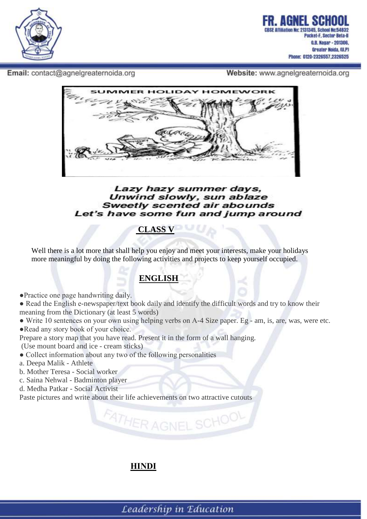

Email: contact@agnelgreaternoida.org

Website: www.agnelgreaternoida.org



#### Lazy hazy summer days, Unwind slowly, sun ablaze Sweetly scented air abounds Let's have some fun and jump around

## **CLASS V**

 Well there is a lot more that shall help you enjoy and meet your interests, make your holidays more meaningful by doing the following activities and projects to keep yourself occupied.

## **ENGLISH**

●Practice one page handwriting daily.

• Read the English e-newspaper/text book daily and identify the difficult words and try to know their meaning from the Dictionary (at least 5 words)

• Write 10 sentences on your own using helping verbs on A-4 Size paper. Eg - am, is, are, was, were etc. • Read any story book of your choice.

FATHER AGNEL SCHOOL

Prepare a story map that you have read. Present it in the form of a wall hanging.

- (Use mount board and ice cream sticks)
- Collect information about any two of the following personalities
- a. Deepa Malik Athlete
- b. Mother Teresa Social worker
- c. Saina Nehwal Badminton player
- d. Medha Patkar Social Activist

Paste pictures and write about their life achievements on two attractive cutouts

### **HINDI**

Leadership in Education